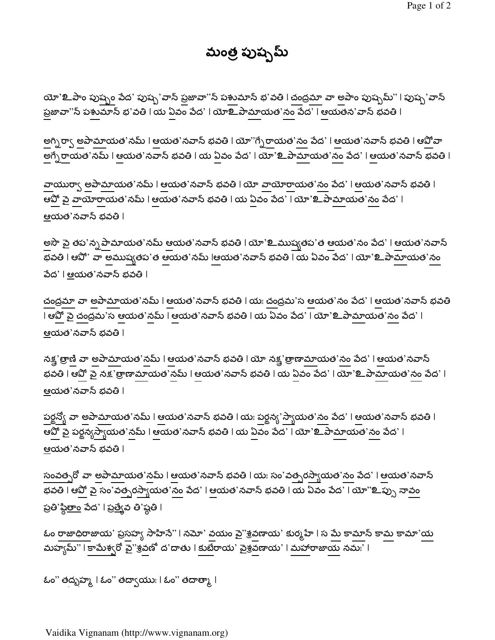మంత్ర పుష్పమ్

యో'**உ**పాం పు<u>ష్పం</u> పేద' పుష్ప'వాన్ ప్రజావా''న్ పశుమాన్ భ'వతి l చంద్రమా వా అపాం పుష్పమ్'' l పుష్ప`వాన్ ప్రజావా"న్ పశుమాన్ భ'వతి | య ఏవం పేద' | యోలి పామాయత'నం పేద' | ఆయతన'వాన్ భవతి |

అగ్నిర్వా అపామాయత'నమ్ । ఆయత'నవాస్ భవతి । యో''గ్సేరాయత'నం పేద' । ఆయత'నవాస్ భవతి । ఆపోవా అగ్భేరాయత'నమ్ l ఆయత'నవాన్ భవతి l య ఏవం పేద' l యో'உపామాయత'నం పేద' l ఆయత'నవాన్ భవతి l

వాయురా్ష అపామాయత'నమ్ । ఆయత'నవాన్ భవతి । యో వాయోరాయత'నం పేద' । ఆయత'నవాన్ భవతి । ఆవో పై వాయోరాయత'నమ్ । ఆయత'నవాన్ భవతి । య ఏవం పేద' । యో'உపామాయత'నం పేద' । <u>ఆయత'నవాన్ భవతి l</u>

అసౌ పై తప'న్న పామాయత'నమ్ ఆయత'నవాస్ భవతి l యో'**உ**ముష్యతప'త ఆయత'నం పేద' l ఆయత'నవాస్ భవతి l ఆపో' వా అముష్యతప'త ఆయత'నమ్ lఆయత'నవాన్ భవతి l య ఏవం పేద' l యో'உపామాయత'నం వేద` | ఆయత`నవాన్ భవతి |

చంద్రమా వా అపామాయత'నమ్ l ఆయత'నవాన్ భవతి l యః చంద్రమ'స ఆయత'నం పేద' l ఆయత'నవాన్ భవతి । ఆపో పై చంద్రమ'స ఆయత'నమ్ । ఆయత'నవాన్ భవతి । య ఏవం పేద' । యో'உపామాయత'నం పేద' । <u>ఆయత'నవాన్ భవతి l</u>

నక్ష'త్రాణి వా అపామాయత'నమ్ । ఆయత'నవాన్ భవతి । యో నక్ష'త్రాణామాయత'నం పేద' । ఆయత'నవాన్ భవతి l ఆవో పై నక్ష`త్రాణామాయత'నమ్ l ఆయత'నవాన్ భవతి l య ఏవం పేద' l యో'உపామాయత'నం పేద' l <u>ఆయత'నవాన్ భవతి l</u>

పర్జన్యో వా అపామాయత'నమ్ l ఆయత'నవాన్ భవతి l యః పర్జన్య'స్వాయత'నం పేద' l ఆయత'నవాన్ భవతి l ఆవో పై పర్జన్యస్వాయత'నమ్ l ఆయత'నవాన్ భవతి l య ఏవం పేద' l యో'உపామాయత'నం పేద' l <u>ఆయత'నవాన్ భవతి l</u>

సంవత్సరో వా అపామాయత'నమ్ l ఆయత'నవాస్ భవతి l యః సం'వత్సరస్వాయత'నం పేద' l ఆయత'నవాస్ భవతి l ఆవో పై సం'వత్సరస్యాయత'నం పేద' l ఆయత'నవాన్ భవతి l య ఏవం పేద' l యో''**உ**ప్పు నావం ప్రతి'స్థి<u>తాం</u> పేద' | ప్రత్యేవ తి'ష్ఠతి |

ఓం రాజాధిరాజాయ' ప్రసహ్య సాహిసే''। నమో' వయం వై''శ్రవణాయ' కుర్మహే । స మే కా<u>మా</u>స్ కా<u>మ</u> కామా'య మహ్యమ్"। కామేశ్వరో వై"శ్రవణో ద'దాతు। కుటేరాయి' వైశ్రవణాయి'। మహారాజాయ నమః'।

ఓం" తద్బహ్మ | ఓం" తద్వాయుః | ఓం" తదాత్మా |

Vaidika Vignanam (http://www.vignanam.org)